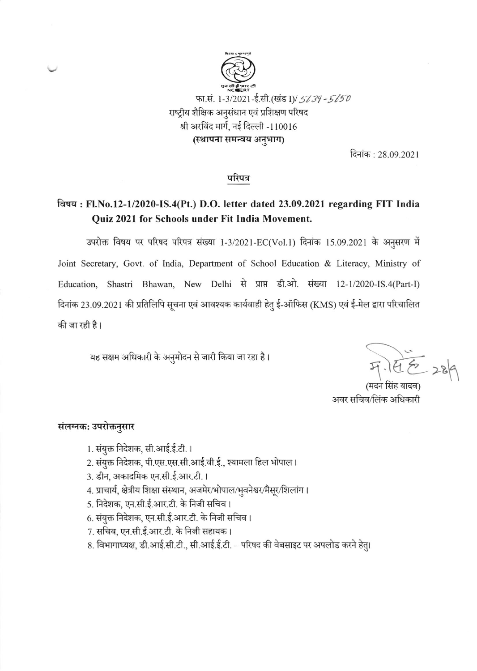

दिनांक : 28.09.2021

### परिपत्र

# विषय: Fl.No.12-1/2020-IS.4(Pt.) D.O. letter dated 23.09.2021 regarding FIT India Quiz 2021 for Schools under Fit India Movement.

उपरोक्त विषय पर परिषद परिपत्र संख्या 1-3/2021-EC(Vol.1) दिनांक 15.09.2021 के अनुसरण में Joint Secretary, Govt. of India, Department of School Education & Literacy, Ministry of Education, Shastri Bhawan, New Delhi से प्राप्त डी.ओ. संख्या 12-1/2020-IS.4(Part-I) दिनांक 23.09.2021 की प्रतिलिपि सूचना एवं आवश्यक कार्यवाही हेतु ई-ऑफिस (KMS) एवं ई-मेल द्वारा परिचालित की जा रही है।

यह सक्षम अधिकारी के अनुमोदन से जारी किया जा रहा है।

(मदन सिंह यादव) अवर सचिव/लिंक अधिकारी

#### संलग्नक: उपरोक्तनुसार

- 1. संयुक्त निदेशक, सी.आई.ई.टी. ।
- 2. संयुक्त निदेशक, पी.एस.एस.सी.आई.वी.ई., श्यामला हिल भोपाल।
- 3. डीन, अकादमिक एन.सी.ई.आर.टी.।
- 4. प्राचार्य, क्षेत्रीय शिक्षा संस्थान, अजमेर/भोपाल/भुवनेश्वर/मैसूर/शिलांग।
- 5. निदेशक, एन.सी.ई.आर.टी. के निजी सचिव।
- 6. संयुक्त निदेशक, एन.सी.ई.आर.टी. के निजी सचिव ।
- 7. सचिव, एन.सी.ई.आर.टी. के निजी सहायक।
- 8. विभागाध्यक्ष, डी.आई.सी.टी., सी.आई.ई.टी. परिषद की वेबसाइट पर अपलोड करने हेतु।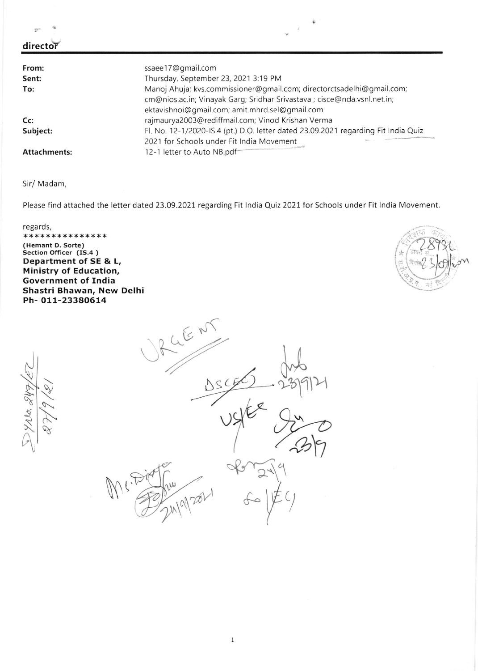|                     | îк.                                                                                |
|---------------------|------------------------------------------------------------------------------------|
| director            |                                                                                    |
|                     |                                                                                    |
| From:               | ssaee17@gmail.com                                                                  |
| Sent:               | Thursday, September 23, 2021 3:19 PM                                               |
| To:                 | Manoj Ahuja; kvs.commissioner@gmail.com; directorctsadelhi@gmail.com;              |
|                     | cm@nios.ac.in; Vinayak Garg; Sridhar Srivastava ; cisce@nda.vsnl.net.in;           |
|                     | ektavishnoi@gmail.com; amit.mhrd.sel@gmail.com                                     |
| Cc                  | rajmaurya2003@rediffmail.com; Vinod Krishan Verma                                  |
| Subject:            | Fl. No. 12-1/2020-IS.4 (pt.) D.O. letter dated 23.09.2021 regarding Fit India Quiz |
|                     | 2021 for Schools under Fit India Movement                                          |
| <b>Attachments:</b> | 12-1 letter to Auto NB.pdf                                                         |

 $\hat{\Phi}$ 

í.

Sir/ Madam,

 $\mathbf{G}$ 

 $\sqrt{2}$ 

 $\frac{1}{2}$ 

Please find attached the letter dated 23.09.2021 regarding Fit India Quiz 2021 for Schools under Fit India Movement.

regards,<br>\*\*\*\*\*\*\*\*\*\*\*\*\*\*\*\*\* (Hemant D. Sorte) Section Officer (IS.4 ) Department of sE & L, Ministry of Education, Government of India Shastri Bhawan, New Delhi Ph- o11-233aO614



1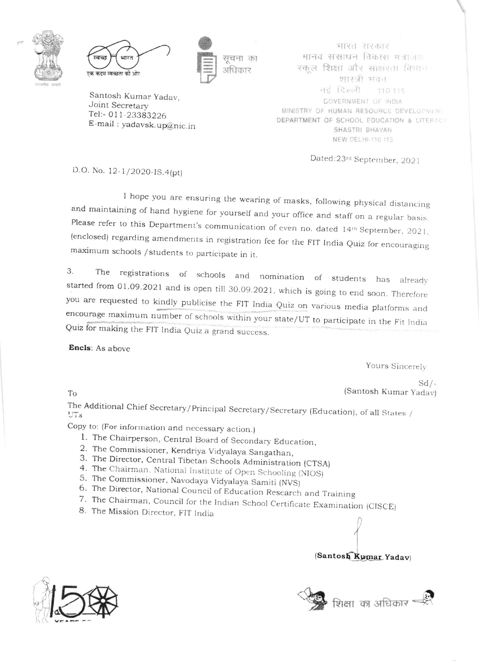



सूचना का अधिकार

Santosh Kumar Yadav, Joint Secretary Tel:- 011-23383226 E-mail: yadavsk.up@nic.in

मारत सरकार मानव संसाधन विकास मन्नालय रकूल शिक्षा और साक्षरता विभाग शास्त्री भवन नई दिल्ली - 110.115 GOVERNMENT OF INDIA MINISTRY OF HUMAN RESOURCE DEVELOPMENT DEPARTMENT OF SCHOOL EDUCATION & LITERACY SHASTRI BHAVAN NEW DELHI-110 115

Dated:23rd September, 2021

D.O. No. 12-1/2020-IS.4(pt)

I hope you are ensuring the wearing of masks, following physical distancing and maintaining of hand hygiene for yourself and your office and staff on a regular basis. Please refer to this Department's communication of even no. dated 14th September, 2021, (enclosed) regarding amendments in registration fee for the FIT India Quiz for encouraging maximum schools / students to participate in it.

3. The registrations of schools and nomination of students has already started from 01.09.2021 and is open till 30.09.2021, which is going to end soon. Therefore you are requested to kindly publicise the FIT India Quiz on various media platforms and encourage maximum number of schools within your state/UT to participate in the Fit India Quiz for making the FIT India Quiz a grand success.

Encls: As above

Yours Sincerely

 $Sd/$ -(Santosh Kumar Yadav)

To

The Additional Chief Secretary/Principal Secretary/Secretary (Education), of all States /  $UTs$ 

Copy to: (For information and necessary action.)

- 1. The Chairperson, Central Board of Secondary Education,
- 2. The Commissioner, Kendriya Vidyalaya Sangathan,
- 3. The Director, Central Tibetan Schools Administration (CTSA)
- 4. The Chairman, National Institute of Open Schooling (NIOS)
- 5. The Commissioner, Navodaya Vidyalaya Samiti (NVS)
- 6. The Director, National Council of Education Research and Training
- 7. The Chairman, Council for the Indian School Certificate Examination (CISCE)
- 8. The Mission Director, FIT India